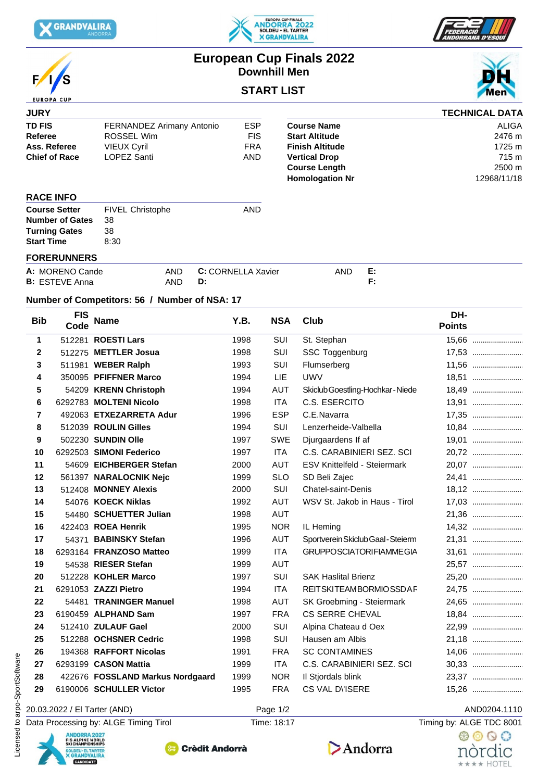

 $\sqrt{2}$ 

**EUROPA CUP** 





# **European Cup Finals 2022 Downhill Men**

## **START LIST**

| <b>JURY</b>            |                           |                           |                        |    | <b>TECHNICAL DATA</b> |
|------------------------|---------------------------|---------------------------|------------------------|----|-----------------------|
| <b>TD FIS</b>          | FERNANDEZ Arimany Antonio | <b>ESP</b>                | <b>Course Name</b>     |    | <b>ALIGA</b>          |
| Referee                | ROSSEL Wim                | <b>FIS</b>                | <b>Start Altitude</b>  |    | 2476 m                |
| Ass. Referee           | <b>VIEUX Cyril</b>        | <b>FRA</b>                | <b>Finish Altitude</b> |    | 1725 m                |
| <b>Chief of Race</b>   | LOPEZ Santi               | AND                       | <b>Vertical Drop</b>   |    | 715 m                 |
|                        |                           |                           | <b>Course Length</b>   |    | 2500 m                |
|                        |                           |                           | <b>Homologation Nr</b> |    | 12968/11/18           |
| <b>RACE INFO</b>       |                           |                           |                        |    |                       |
| <b>Course Setter</b>   | <b>FIVEL Christophe</b>   | <b>AND</b>                |                        |    |                       |
| <b>Number of Gates</b> | 38                        |                           |                        |    |                       |
| <b>Turning Gates</b>   | 38                        |                           |                        |    |                       |
| <b>Start Time</b>      | 8:30                      |                           |                        |    |                       |
| <b>FORERUNNERS</b>     |                           |                           |                        |    |                       |
| A: MORENO Cande        | <b>AND</b>                | <b>C:</b> CORNELLA Xavier | <b>AND</b>             | E: |                       |
| <b>B:</b> ESTEVE Anna  | AND                       | D:                        |                        | F. |                       |

#### **Number of Competitors: 56 / Number of NSA: 17**

| <b>Bib</b>   | <b>FIS</b><br>Code                                                   | <b>Name</b>                           | Y.B. | <b>NSA</b>  | Club                                | DH-<br><b>Points</b>     |
|--------------|----------------------------------------------------------------------|---------------------------------------|------|-------------|-------------------------------------|--------------------------|
| 1            |                                                                      | 512281 ROESTI Lars                    | 1998 | SUI         | St. Stephan                         | 15,66                    |
| $\mathbf{2}$ |                                                                      | 512275 METTLER Josua                  | 1998 | SUI         | SSC Toggenburg                      | 17,53                    |
| 3            |                                                                      | 511981 WEBER Ralph                    | 1993 | SUI         | Flumserberg                         | 11,56                    |
| 4            |                                                                      | 350095 PFIFFNER Marco                 | 1994 | LIE         | <b>UWV</b>                          | 18,51                    |
| 5            |                                                                      | 54209 KRENN Christoph                 | 1994 | <b>AUT</b>  | Skiclub Goestling-Hochkar-Niede     | 18,49                    |
| 6            |                                                                      | 6292783 MOLTENI Nicolo                | 1998 | <b>ITA</b>  | C.S. ESERCITO                       | 13,91                    |
| 7            |                                                                      | 492063 ETXEZARRETA Adur               | 1996 | <b>ESP</b>  | C.E.Navarra                         | 17,35                    |
| 8            |                                                                      | 512039 ROULIN Gilles                  | 1994 | SUI         | Lenzerheide-Valbella                | 10,84                    |
| 9            |                                                                      | 502230 SUNDIN Olle                    | 1997 | <b>SWE</b>  | Djurgaardens If af                  | 19,01                    |
| 10           |                                                                      | 6292503 SIMONI Federico               | 1997 | <b>ITA</b>  | C.S. CARABINIERI SEZ. SCI           | 20,72                    |
| 11           |                                                                      | 54609 EICHBERGER Stefan               | 2000 | AUT         | <b>ESV Knittelfeld - Steiermark</b> | 20,07                    |
| 12           |                                                                      | 561397 NARALOCNIK Nejc                | 1999 | <b>SLO</b>  | SD Beli Zajec                       |                          |
| 13           |                                                                      | 512408 MONNEY Alexis                  | 2000 | SUI         | <b>Chatel-saint-Denis</b>           | 18,12                    |
| 14           |                                                                      | 54076 KOECK Niklas                    | 1992 | <b>AUT</b>  | WSV St. Jakob in Haus - Tirol       | 17,03                    |
| 15           |                                                                      | 54480 SCHUETTER Julian                | 1998 | <b>AUT</b>  |                                     |                          |
| 16           |                                                                      | 422403 ROEA Henrik                    | 1995 | <b>NOR</b>  | IL Heming                           | 14,32                    |
| 17           | 54371                                                                | <b>BABINSKY Stefan</b>                | 1996 | AUT         | Sportverein Skiclub Gaal - Steierm  | 21,31                    |
| 18           |                                                                      | 6293164 FRANZOSO Matteo               | 1999 | <b>ITA</b>  | <b>GRUPPOSCIATORIFIAMMEGIA</b>      | 31,61                    |
| 19           |                                                                      | 54538 RIESER Stefan                   | 1999 | <b>AUT</b>  |                                     | 25,57                    |
| 20           |                                                                      | 512228 KOHLER Marco                   | 1997 | SUI         | <b>SAK Haslital Brienz</b>          | 25,20                    |
| 21           |                                                                      | 6291053 ZAZZI Pietro                  | 1994 | <b>ITA</b>  | <b>REITSKITEAMBORMIOSSDAF</b>       | 24,75                    |
| 22           |                                                                      | 54481 TRANINGER Manuel                | 1998 | <b>AUT</b>  | SK Groebming - Steiermark           | 24,65                    |
| 23           |                                                                      | 6190459 ALPHAND Sam                   | 1997 | <b>FRA</b>  | <b>CS SERRE CHEVAL</b>              | 18,84                    |
| 24           |                                                                      | 512410 ZULAUF Gael                    | 2000 | SUI         | Alpina Chateau d Oex                |                          |
| 25           |                                                                      | 512288 OCHSNER Cedric                 | 1998 | SUI         | Hausen am Albis                     | 21,18                    |
| 26           |                                                                      | 194368 RAFFORT Nicolas                | 1991 | <b>FRA</b>  | <b>SC CONTAMINES</b>                | 14,06                    |
| 27           |                                                                      | 6293199 CASON Mattia                  | 1999 | <b>ITA</b>  | C.S. CARABINIERI SEZ. SCI           |                          |
| 28           |                                                                      | 422676 FOSSLAND Markus Nordgaard      | 1999 | <b>NOR</b>  | Il Stjordals blink                  | 23,37                    |
| 29           |                                                                      | 6190006 SCHULLER Victor               | 1995 | <b>FRA</b>  | CS VAL DISERE                       | 15,26                    |
|              |                                                                      | 20.03.2022 / El Tarter (AND)          |      | Page 1/2    |                                     | AND0204.1110             |
|              |                                                                      | Data Processing by: ALGE Timing Tirol |      | Time: 18:17 |                                     | Timing by: ALGE TDC 8001 |
|              | <b>ANDORRA 2027</b><br><b>FIS ALPINE WORLD<br/>SKI CHAMPIONSHIPS</b> |                                       |      |             |                                     | おののの                     |
|              | SOLDEU · EL TARTER<br><b>X GRANDVALIRA</b>                           | <b>Crèdit Andorrà</b>                 |      |             | Andorra                             | nòrdıc                   |

### 20.03.2022 / El Tarter (AND)  $Page 1/2$  Page 1/2 AND0204.1110

\*\*\*\* HOTEL